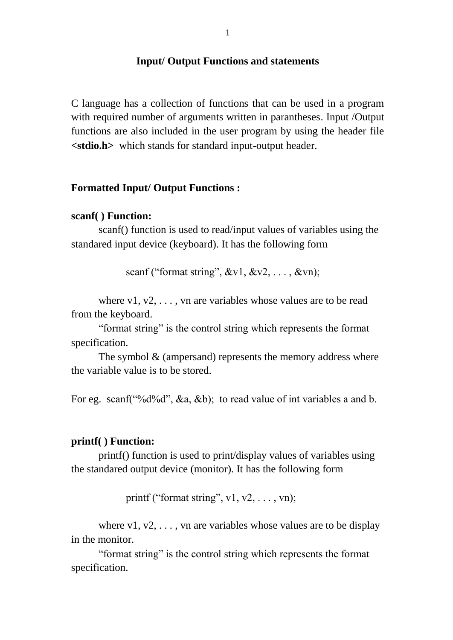#### **Input/ Output Functions and statements**

C language has a collection of functions that can be used in a program with required number of arguments written in parantheses. Input /Output functions are also included in the user program by using the header file **<stdio.h>** which stands for standard input-output header.

#### **Formatted Input/ Output Functions :**

#### **scanf( ) Function:**

scanf() function is used to read/input values of variables using the standared input device (keyboard). It has the following form

scanf ("format string",  $&V1, &V2, \ldots, &V$ n);

where  $v1, v2, \ldots$ , vn are variables whose values are to be read from the keyboard.

"format string" is the control string which represents the format specification.

The symbol  $&$  (ampersand) represents the memory address where the variable value is to be stored.

For eg. scanf("%d%d", &a, &b); to read value of int variables a and b.

#### **printf( ) Function:**

printf() function is used to print/display values of variables using the standared output device (monitor). It has the following form

printf ("format string",  $v1, v2, \ldots, vn$ );

where  $v1, v2, \ldots$ , vn are variables whose values are to be display in the monitor.

"format string" is the control string which represents the format specification.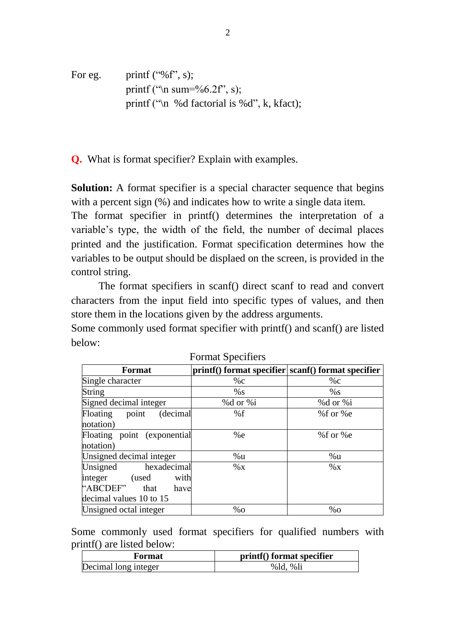For eg. printf ("%f", s);  
printf ("n sum=
$$
\%
$$
6.2f", s);  
printf ("n %d factorial is %d", k, kfact);

**Q.** What is format specifier? Explain with examples.

**Solution:** A format specifier is a special character sequence that begins with a percent sign  $(\%)$  and indicates how to write a single data item.

The format specifier in printf() determines the interpretation of a variable"s type, the width of the field, the number of decimal places printed and the justification. Format specification determines how the variables to be output should be displaed on the screen, is provided in the control string.

The format specifiers in scanf() direct scanf to read and convert characters from the input field into specific types of values, and then store them in the locations given by the address arguments.

Some commonly used format specifier with printf() and scanf() are listed below:

| <b>Format</b>               | printf() format specifier scanf() format specifier |             |
|-----------------------------|----------------------------------------------------|-------------|
| Single character            | $\%c$                                              | $\%c$       |
| String                      | $\%$ S                                             | %s          |
| Signed decimal integer      | %d or %i                                           | %d or %i    |
| (decimal<br>Floating point  | %f                                                 | % $f$ or %e |
| notation)                   |                                                    |             |
| Floating point (exponential | %e                                                 | % $f$ or %e |
| notation)                   |                                                    |             |
| Unsigned decimal integer    | %u                                                 | %u          |
| Unsigned<br>hexadecimal     | $\%$ X                                             | $\%$ X      |
| integer<br>with<br>(used    |                                                    |             |
| "ABCDEF"<br>that<br>have    |                                                    |             |
| decimal values 10 to 15     |                                                    |             |
| Unsigned octal integer      | $\%$ O                                             | $\%$ O      |

Format Specifiers

Some commonly used format specifiers for qualified numbers with printf() are listed below:

| Format               | printf() format specifier |
|----------------------|---------------------------|
| Decimal long integer | $%$ ld, $%$ li            |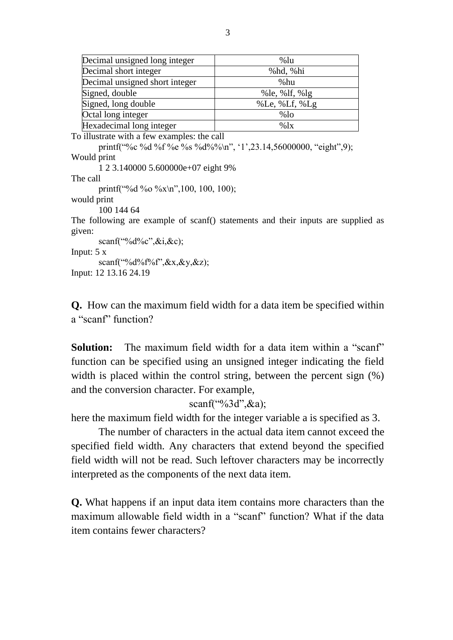| Decimal unsigned long integer  | $%$ lu           |
|--------------------------------|------------------|
| Decimal short integer          | %hd, %hi         |
| Decimal unsigned short integer | %hu              |
| Signed, double                 | % le, % lf, % lg |
| Signed, long double            | % Le, % Lf, % Lg |
| Octal long integer             | $%$ lo           |
| Hexadecimal long integer       | %1x              |

To illustrate with a few examples: the call

printf("%c %d %f %e %s %d%%\n", "1",23.14,56000000, "eight",9); Would print

1 2 3.140000 5.600000e+07 eight 9%

The call

printf("%d %o %x\n",100, 100, 100);

would print

100 144 64

The following are example of scanf() statements and their inputs are supplied as given:

scanf("%d%c",&i,&c);

Input: 5 x

scanf("%d%f%f",&x,&y,&z);

Input: 12 13.16 24.19

**Q.** How can the maximum field width for a data item be specified within a "scanf" function?

**Solution:** The maximum field width for a data item within a "scanf" function can be specified using an unsigned integer indicating the field width is placed within the control string, between the percent sign (%) and the conversion character. For example,

scanf("%3d",&a);

here the maximum field width for the integer variable a is specified as 3.

The number of characters in the actual data item cannot exceed the specified field width. Any characters that extend beyond the specified field width will not be read. Such leftover characters may be incorrectly interpreted as the components of the next data item.

**Q.** What happens if an input data item contains more characters than the maximum allowable field width in a "scanf" function? What if the data item contains fewer characters?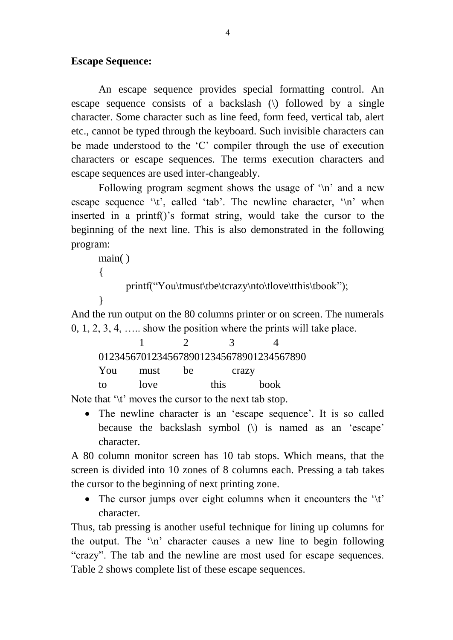## **Escape Sequence:**

An escape sequence provides special formatting control. An escape sequence consists of a backslash (\) followed by a single character. Some character such as line feed, form feed, vertical tab, alert etc., cannot be typed through the keyboard. Such invisible characters can be made understood to the 'C' compiler through the use of execution characters or escape sequences. The terms execution characters and escape sequences are used inter-changeably.

Following program segment shows the usage of  $\ln$  and a new escape sequence  $\iota$  t', called 'tab'. The newline character,  $\iota$ n' when inserted in a printf()'s format string, would take the cursor to the beginning of the next line. This is also demonstrated in the following program:

```
main( )
\left\{ \right.printf("You\tmust\tbe\tcrazy\nto\tlove\tthis\tbook");
}
```
And the run output on the 80 columns printer or on screen. The numerals 0, 1, 2, 3, 4, ….. show the position where the prints will take place.

|     |      |    | $\mathcal{L}$ |                                         |  |
|-----|------|----|---------------|-----------------------------------------|--|
|     |      |    |               | 012345670123456789012345678901234567890 |  |
| You | must | he | crazy         |                                         |  |
| to  | love |    | this          | <b>book</b>                             |  |

Note that '\t' moves the cursor to the next tab stop.

• The newline character is an 'escape sequence'. It is so called because the backslash symbol  $(\cdot)$  is named as an 'escape' character.

A 80 column monitor screen has 10 tab stops. Which means, that the screen is divided into 10 zones of 8 columns each. Pressing a tab takes the cursor to the beginning of next printing zone.

• The cursor jumps over eight columns when it encounters the  $\forall t$ . character.

Thus, tab pressing is another useful technique for lining up columns for the output. The "\n" character causes a new line to begin following "crazy". The tab and the newline are most used for escape sequences. Table 2 shows complete list of these escape sequences.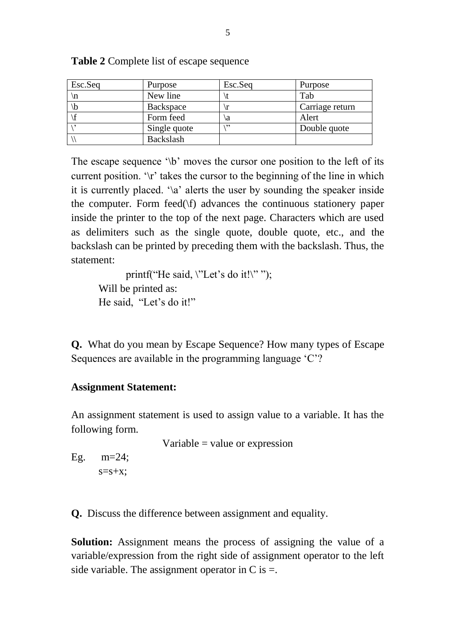| Esc.Seq | Purpose      | Esc.Seq | Purpose         |
|---------|--------------|---------|-----------------|
|         | New line     |         | Tab             |
|         | Backspace    |         | Carriage return |
|         | Form feed    | a       | Alert           |
|         | Single quote | ,,      | Double quote    |
|         | Backslash    |         |                 |

**Table 2** Complete list of escape sequence

The escape sequence  $\mathcal{b}'$  moves the cursor one position to the left of its current position.  $\mathcal{C}$  takes the cursor to the beginning of the line in which it is currently placed.  $\alpha$  alerts the user by sounding the speaker inside the computer. Form feed $(\forall f)$  advances the continuous stationery paper inside the printer to the top of the next page. Characters which are used as delimiters such as the single quote, double quote, etc., and the backslash can be printed by preceding them with the backslash. Thus, the statement:

printf("He said,  $\text{``Let's do it!''''''};$ Will be printed as: He said, "Let's do it!"

**Q.** What do you mean by Escape Sequence? How many types of Escape Sequences are available in the programming language 'C'?

## **Assignment Statement:**

An assignment statement is used to assign value to a variable. It has the following form.

Variable = value or expression

Eg. m=24;  $s=s+x$ ;

**Q.** Discuss the difference between assignment and equality.

**Solution:** Assignment means the process of assigning the value of a variable/expression from the right side of assignment operator to the left side variable. The assignment operator in C is  $=$ .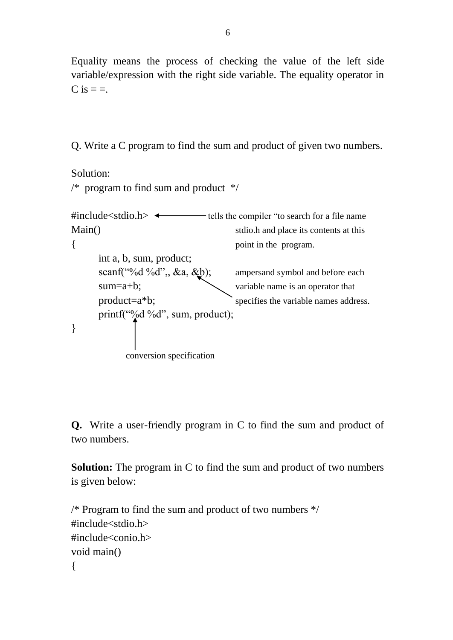Equality means the process of checking the value of the left side variable/expression with the right side variable. The equality operator in  $C$  is  $=$   $=$ .

Q. Write a C program to find the sum and product of given two numbers.

```
Solution:
\frac{1}{2} program to find sum and product \frac{1}{2}#include\ltstdio.h\gt \leftarrow tells the compiler "to search for a file name
Main() stdio.h and place its contents at this
{ point in the program.
     int a, b, sum, product;
     scanf("%d %d",, &a, &b); ampersand symbol and before each
     sum=a+b; variable name is an operator that
     product=a^*b; specifies the variable names address.
     printf("%d %d", sum, product);
}
           conversion specification
```
**Q.** Write a user-friendly program in C to find the sum and product of two numbers.

**Solution:** The program in C to find the sum and product of two numbers is given below:

```
/* Program to find the sum and product of two numbers */
#include<stdio.h>
#include<conio.h>
void main()
{
```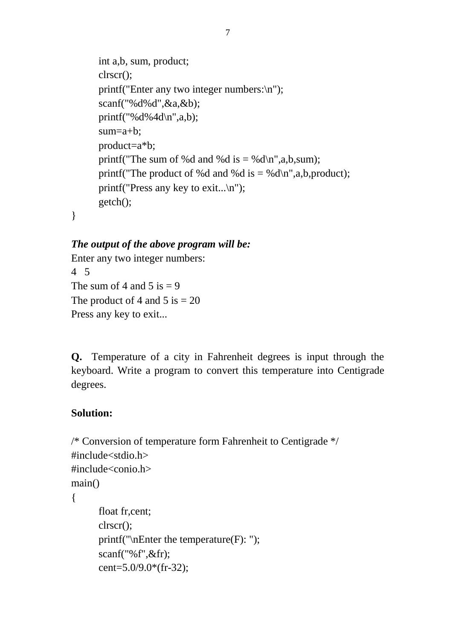```
int a,b, sum, product;
clrscr();
printf("Enter any two integer numbers:\n");
scanf("%d%d",&a,&b);
printf("%d%4d\n",a,b);
sum=a+b;
product=a*b;
printf("The sum of %d and %d is = %d\n",a,b,sum);
printf("The product of %d and %d is = %d\n",a,b,product);
printf("Press any key to exit...\n");
getch();
```
}

## *The output of the above program will be:*

Enter any two integer numbers: 4 5 The sum of 4 and 5 is  $= 9$ The product of 4 and 5 is  $= 20$ Press any key to exit...

**Q.** Temperature of a city in Fahrenheit degrees is input through the keyboard. Write a program to convert this temperature into Centigrade degrees.

# **Solution:**

```
/* Conversion of temperature form Fahrenheit to Centigrade */
#include<stdio.h>
#include<conio.h>
main()
{
      float fr,cent;
      clrscr();
      printf("\nEnter the temperature(F): ");
      scanf("%f",&fr);
      cent=5.0/9.0*(fr-32);
```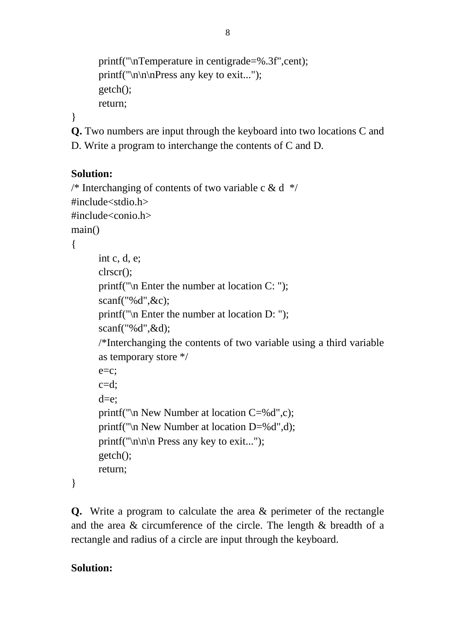```
printf("\nTemperature in centigrade=%.3f",cent);
printf("\ln\ln\Press any key to exit...");
getch();
return;
```

```
}
```
**Q.** Two numbers are input through the keyboard into two locations C and D. Write a program to interchange the contents of C and D.

## **Solution:**

```
/* Interchanging of contents of two variable c & d */
#include<stdio.h>
#include<conio.h>
main()
{
      int c, d, e;
```

```
clrscr();
printf("\n Enter the number at location C: ");
scanf("%d",&c);
printf("\n Enter the number at location D: ");
scanf("%d",&d);
/*Interchanging the contents of two variable using a third variable 
as temporary store */
e=c;
c= d:
d=e;
printf("\n New Number at location C=%d",c);
printf("\n New Number at location D=%d",d);
printf("\ln\ln Press any key to exit...");
getch();
```
}

**Q.** Write a program to calculate the area & perimeter of the rectangle and the area & circumference of the circle. The length & breadth of a rectangle and radius of a circle are input through the keyboard.

# **Solution:**

return;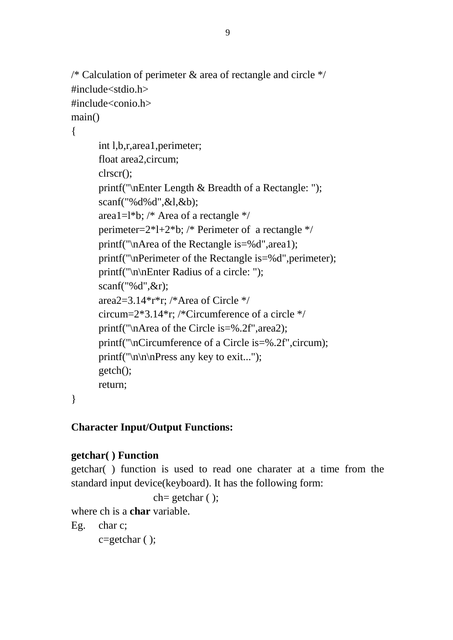```
\frac{1}{8} Calculation of perimeter & area of rectangle and circle \frac{1}{8}#include<stdio.h>
#include<conio.h>
main()
```
{

```
int l,b,r,area1,perimeter;
float area2,circum;
clrscr();
printf("\nEnter Length & Breadth of a Rectangle: ");
scanf("%d%d",&l,&b);
area1=l*b; /* Area of a rectangle */perimeter=2*l+2*b; /* Perimeter of a rectangle */
printf("\nArea of the Rectangle is=%d",area1);
printf("\nPerimeter of the Rectangle is=%d",perimeter);
printf("\n\nEnter Radius of a circle: ");
scanf("%d",&r);
area2=3.14*r*r; /*Area of Circle */
circum=2*3.14*r; /*Circumference of a circle */
printf("\nArea of the Circle is=%.2f",area2);
printf("\nCircumference of a Circle is=%.2f",circum);
printf("\ln\ln\Press any key to exit...");
getch();
return;
```
}

# **Character Input/Output Functions:**

# **getchar( ) Function**

getchar( ) function is used to read one charater at a time from the standard input device(keyboard). It has the following form:

```
ch= getchar ( );
```
where ch is a **char** variable.

Eg. char c;

c=getchar ( );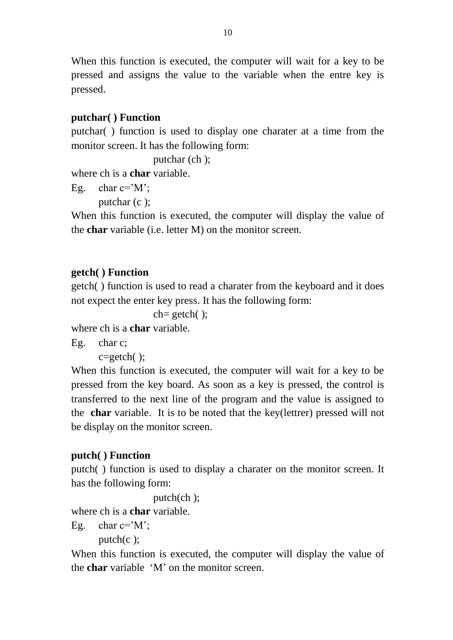When this function is executed, the computer will wait for a key to be pressed and assigns the value to the variable when the entre key is pressed.

# **putchar( ) Function**

putchar( ) function is used to display one charater at a time from the monitor screen. It has the following form:

```
putchar (ch );
```
where ch is a **char** variable.

```
Eg. char c = M:
```
putchar (c );

When this function is executed, the computer will display the value of the **char** variable (i.e. letter M) on the monitor screen.

# **getch( ) Function**

getch( ) function is used to read a charater from the keyboard and it does not expect the enter key press. It has the following form:

 $ch = getch()$ ;

where ch is a **char** variable.

Eg. char c;

c=getch( );

When this function is executed, the computer will wait for a key to be pressed from the key board. As soon as a key is pressed, the control is transferred to the next line of the program and the value is assigned to the **char** variable. It is to be noted that the key(lettrer) pressed will not be display on the monitor screen.

# **putch( ) Function**

putch( ) function is used to display a charater on the monitor screen. It has the following form:

putch(ch );

where ch is a **char** variable.

```
Eg. char c='M;
```
putch $(c)$ ;

When this function is executed, the computer will display the value of the **char** variable "M" on the monitor screen.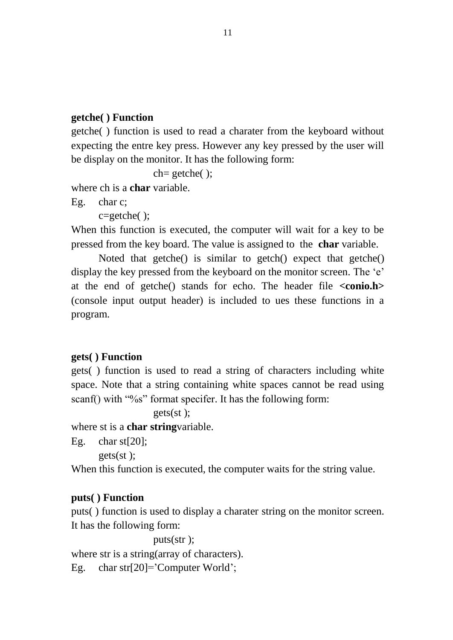### **getche( ) Function**

getche( ) function is used to read a charater from the keyboard without expecting the entre key press. However any key pressed by the user will be display on the monitor. It has the following form:

ch= getche( );

where ch is a **char** variable.

```
Eg. char c;
```
c=getche( );

When this function is executed, the computer will wait for a key to be pressed from the key board. The value is assigned to the **char** variable.

Noted that getche() is similar to getch() expect that getche() display the key pressed from the keyboard on the monitor screen. The 'e' at the end of getche() stands for echo. The header file **<conio.h>** (console input output header) is included to ues these functions in a program.

## **gets( ) Function**

gets( ) function is used to read a string of characters including white space. Note that a string containing white spaces cannot be read using scanf() with "%s" format specifer. It has the following form:

gets(st );

where st is a **char string**variable.

Eg. char st[20];

gets(st );

When this function is executed, the computer waits for the string value.

#### **puts( ) Function**

puts( ) function is used to display a charater string on the monitor screen. It has the following form:

puts(str ); where str is a string (array of characters). Eg. char str[20]='Computer World';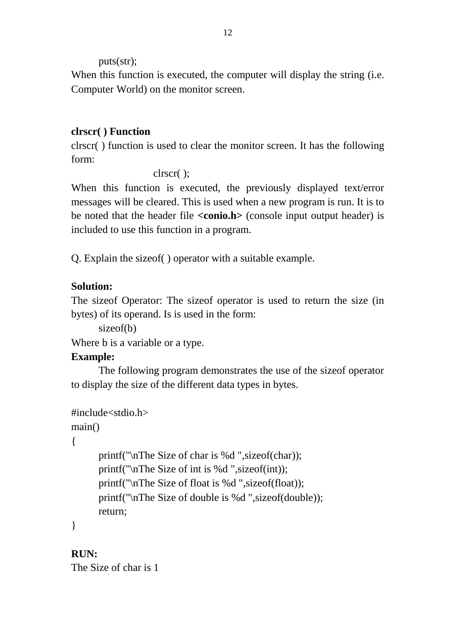puts(str);

When this function is executed, the computer will display the string (i.e. Computer World) on the monitor screen.

# **clrscr( ) Function**

clrscr( ) function is used to clear the monitor screen. It has the following form:

clrscr( );

When this function is executed, the previously displayed text/error messages will be cleared. This is used when a new program is run. It is to be noted that the header file **<conio.h>** (console input output header) is included to use this function in a program.

Q. Explain the sizeof( ) operator with a suitable example.

# **Solution:**

The sizeof Operator: The sizeof operator is used to return the size (in bytes) of its operand. Is is used in the form:

sizeof(b)

Where b is a variable or a type.

# **Example:**

The following program demonstrates the use of the sizeof operator to display the size of the different data types in bytes.

```
#include<stdio.h>
```
main()

# {

printf("\nThe Size of char is %d ",sizeof(char)); printf("\nThe Size of int is %d ",sizeof(int)); printf("\nThe Size of float is %d ",sizeof(float)); printf("\nThe Size of double is %d ",sizeof(double)); return;

}

**RUN:**

The Size of char is 1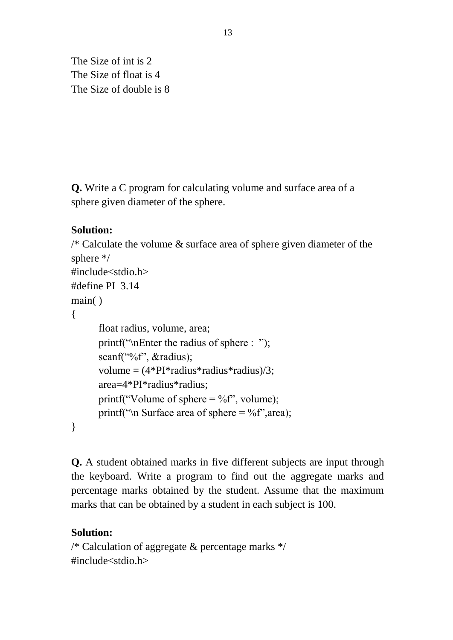The Size of int is 2 The Size of float is 4 The Size of double is 8

**Q.** Write a C program for calculating volume and surface area of a sphere given diameter of the sphere.

## **Solution:**

```
\frac{1}{8} Calculate the volume & surface area of sphere given diameter of the
sphere */
#include<stdio.h>
#define PI 3.14
main( )
{
      float radius, volume, area;
      printf("\nEnter the radius of sphere : ");
      scanf("%f", &radius);
      volume = (4*PI*radius*radius*radius)/3;area=4*PI*radius*radius;
      printf("Volume of sphere = %f", volume);
      printf("\n Surface area of sphere = \%f", area);
}
```
**Q.** A student obtained marks in five different subjects are input through the keyboard. Write a program to find out the aggregate marks and percentage marks obtained by the student. Assume that the maximum marks that can be obtained by a student in each subject is 100.

#### **Solution:**

/\* Calculation of aggregate  $&$  percentage marks  $\frac{*}{ }$ #include<stdio.h>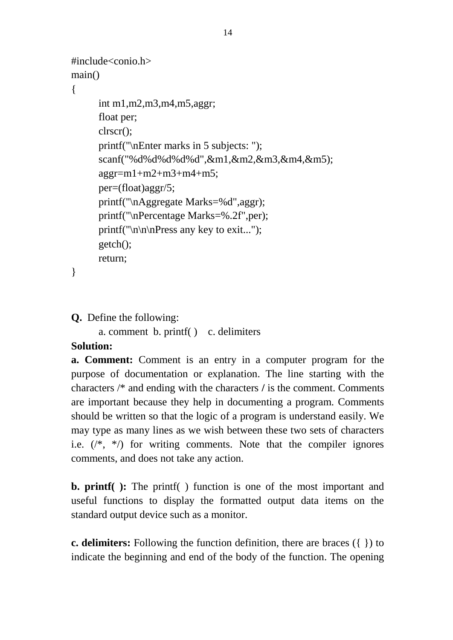```
#include<conio.h>
main()
{
     int m1,m2,m3,m4,m5,aggr;
      float per;
      clrscr();
      printf("\nEnter marks in 5 subjects: ");
      scanf("%d%d%d%d%d",&m1,&m2,&m3,&m4,&m5);
      aggr=m1+m2+m3+m4+m5;
      per=(float)aggr/5;
      printf("\nAggregate Marks=%d",aggr);
      printf("\nPercentage Marks=%.2f",per);
      printf("\ln\ln\Pr ress any key to exit...");
      getch();
      return;
```

```
}
```

```
Q. Define the following:
```
a. comment b. printf( ) c. delimiters

## **Solution:**

**a. Comment:** Comment is an entry in a computer program for the purpose of documentation or explanation. The line starting with the characters /\* and ending with the characters **/** is the comment. Comments are important because they help in documenting a program. Comments should be written so that the logic of a program is understand easily. We may type as many lines as we wish between these two sets of characters i.e.  $(\frac{1}{2}, \frac{1}{2})$  for writing comments. Note that the compiler ignores comments, and does not take any action.

**b. printf( ):** The printf( ) function is one of the most important and useful functions to display the formatted output data items on the standard output device such as a monitor.

**c. delimiters:** Following the function definition, there are braces ({ }) to indicate the beginning and end of the body of the function. The opening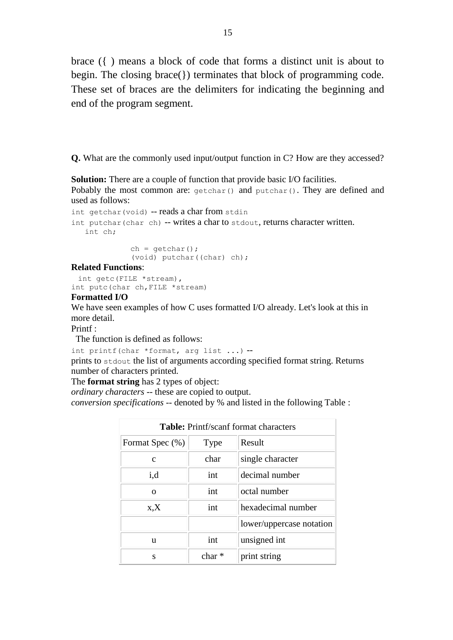brace ({ ) means a block of code that forms a distinct unit is about to begin. The closing brace(}) terminates that block of programming code. These set of braces are the delimiters for indicating the beginning and end of the program segment.

**Q.** What are the commonly used input/output function in C? How are they accessed?

**Solution:** There are a couple of function that provide basic I/O facilities. Pobably the most common are: getchar() and putchar(). They are defined and used as follows:

```
int getchar(void) -- reads a char from stdin
int putchar (char ch) -- writes a char to stdout, returns character written.
    int ch;
               ch = getchar();
```
(void) putchar((char) ch);

**Related Functions**:

```
 int getc(FILE *stream), 
int putc(char ch,FILE *stream)
```
#### **Formatted I/O**

We have seen examples of how C uses formatted I/O already. Let's look at this in more detail.

Printf :

The function is defined as follows:

int printf(char \*format, arg list ...) --

prints to stdout the list of arguments according specified format string. Returns number of characters printed.

The **format string** has 2 types of object:

*ordinary characters* -- these are copied to output.

*conversion specifications* -- denoted by % and listed in the following Table :

| <b>Table:</b> Printf/scanf format characters |          |                          |
|----------------------------------------------|----------|--------------------------|
| Format Spec (%)                              | Type     | Result                   |
| C                                            | char     | single character         |
| i,d                                          | int      | decimal number           |
| $\Omega$                                     | int      | octal number             |
| X, X                                         | int      | hexadecimal number       |
|                                              |          | lower/uppercase notation |
| u                                            | int      | unsigned int             |
| S                                            | char $*$ | print string             |